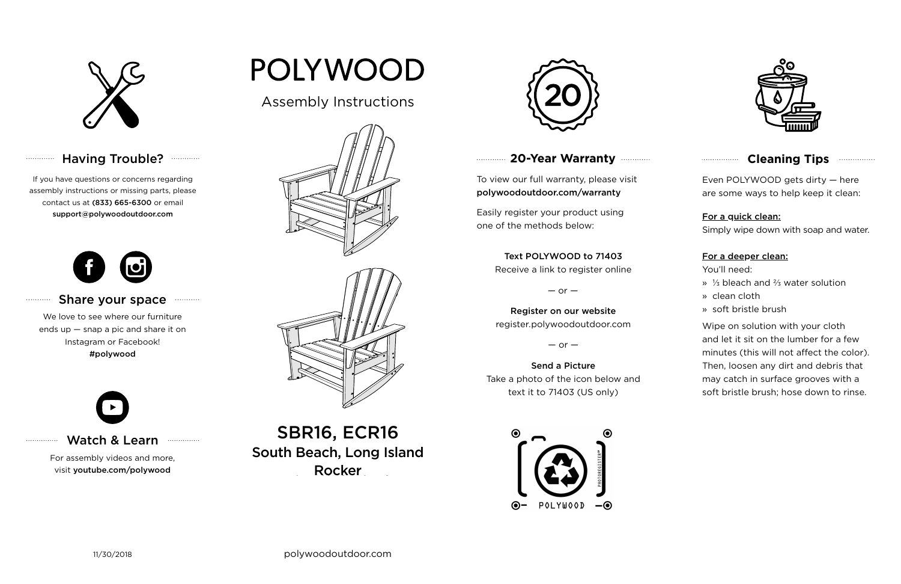

## Having Trouble? **...........**



#### **Cleaning Tips <b>Cleaning**</u>

### **20-Year Warranty**

To view our full warranty, please visit polywoodoutdoor.com/warranty

Easily register your product using one of the methods below:

Even POLYWOOD gets dirty — here are some ways to help keep it clean:

For a quick clean:

Simply wipe down with soap and water.

#### For a deeper clean:

You'll need:

- » ⅓ bleach and ⅔ water solution
- » clean cloth
- » soft bristle brush

Wipe on solution with your cloth and let it sit on the lumber for a few minutes (this will not affect the color). Then, loosen any dirt and debris that may catch in surface grooves with a soft bristle brush; hose down to rinse.

#### Share your space . . . . . . . . . . .

South Beach, Long Island Furniture Rocker SBR16, ECR16



#### Text POLYWOOD to 71403

Receive a link to register online

 $-$  or  $-$ 

#### Register on our website register.polywoodoutdoor.com

 $-$  or  $-$ 

#### Send a Picture Take a photo of the icon below and text it to 71403 (US only)



#### Watch & Learn

For assembly videos and more, visit youtube.com/polywood

# POLYWOOD

If you have questions or concerns regarding assembly instructions or missing parts, please contact us at (833) 665-6300 or email support@polywoodoutdoor.com

. . . . . . . . . . . .

. . . . . . . . . . .

. . . . . . . . . . . . . . .



We love to see where our furniture ends up — snap a pic and share it on Instagram or Facebook! #polywood



## Assembly Instructions